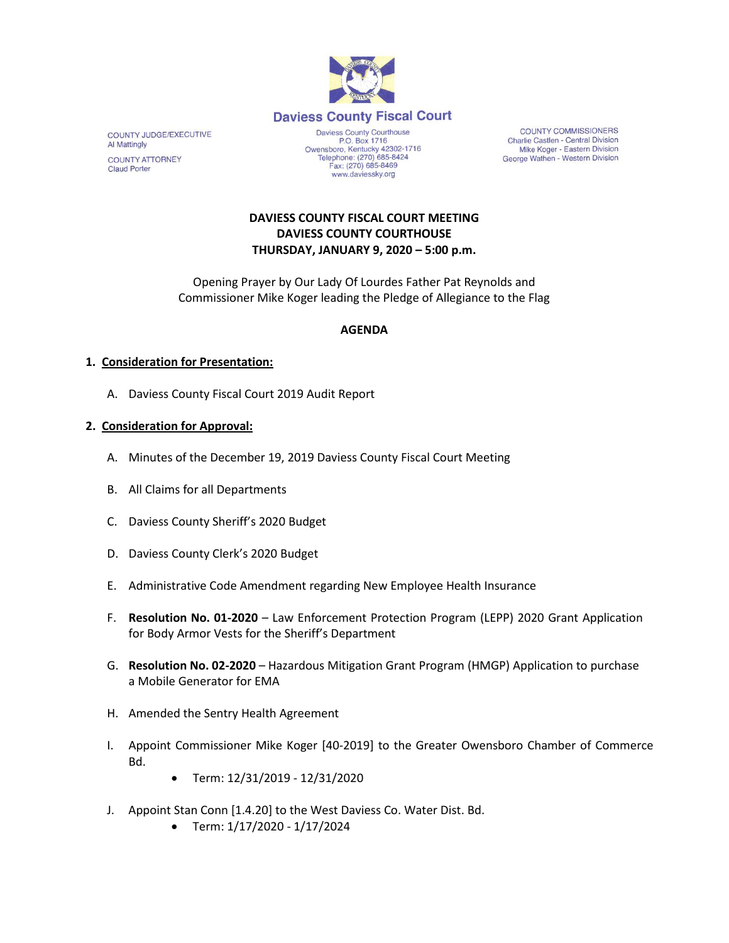

COUNTY JUDGE/EXECUTIVE **Al Mattingly COUNTY ATTORNEY Claud Porter** 

P.O. Box 1716 P.O. Box 1716<br>Owensboro, Kentucky 42302-1716<br>Telephone: (270) 685-8424 Fax: (270) 685-8469 www.daviessky.org

**COUNTY COMMISSIONERS** Charlie Castlen - Central Division Mike Koger - Eastern Division George Wathen - Western Division

### **DAVIESS COUNTY FISCAL COURT MEETING DAVIESS COUNTY COURTHOUSE THURSDAY, JANUARY 9, 2020 – 5:00 p.m.**

Opening Prayer by Our Lady Of Lourdes Father Pat Reynolds and Commissioner Mike Koger leading the Pledge of Allegiance to the Flag

### **AGENDA**

#### **1. Consideration for Presentation:**

A. Daviess County Fiscal Court 2019 Audit Report

#### **2. Consideration for Approval:**

- A. Minutes of the December 19, 2019 Daviess County Fiscal Court Meeting
- B. All Claims for all Departments
- C. Daviess County Sheriff's 2020 Budget
- D. Daviess County Clerk's 2020 Budget
- E. Administrative Code Amendment regarding New Employee Health Insurance
- F. **Resolution No. 01-2020** Law Enforcement Protection Program (LEPP) 2020 Grant Application for Body Armor Vests for the Sheriff's Department
- G. **Resolution No. 02-2020** Hazardous Mitigation Grant Program (HMGP) Application to purchase a Mobile Generator for EMA
- H. Amended the Sentry Health Agreement
- I. Appoint Commissioner Mike Koger [40-2019] to the Greater Owensboro Chamber of Commerce Bd.
	- Term: 12/31/2019 12/31/2020
- J. Appoint Stan Conn [1.4.20] to the West Daviess Co. Water Dist. Bd.
	- Term: 1/17/2020 1/17/2024